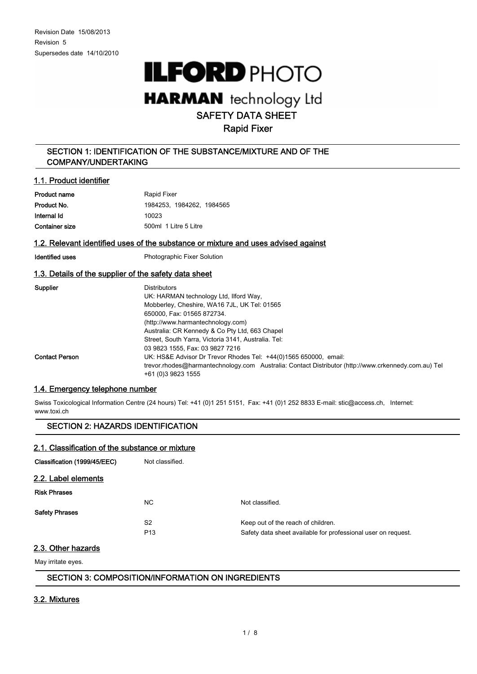**ILFORD PHOTO** 

# **HARMAN** technology Ltd

## SAFETY DATA SHEET

## Rapid Fixer

## SECTION 1: IDENTIFICATION OF THE SUBSTANCE/MIXTURE AND OF THE COMPANY/UNDERTAKING

## 1.1. Product identifier

| Product name          | Rapid Fixer               |  |
|-----------------------|---------------------------|--|
| Product No.           | 1984253, 1984262, 1984565 |  |
| Internal Id           | 10023                     |  |
| <b>Container size</b> | 500ml 1 Litre 5 Litre     |  |

## 1.2. Relevant identified uses of the substance or mixture and uses advised against

Identified uses **Photographic Fixer Solution** 

## 1.3. Details of the supplier of the safety data sheet

| <b>Supplier</b>       | <b>Distributors</b>                                                                                 |
|-----------------------|-----------------------------------------------------------------------------------------------------|
|                       | UK: HARMAN technology Ltd, Ilford Way,                                                              |
|                       | Mobberley, Cheshire, WA16 7JL, UK Tel: 01565                                                        |
|                       | 650000, Fax: 01565 872734.                                                                          |
|                       | (http://www.harmantechnology.com)                                                                   |
|                       | Australia: CR Kennedy & Co Pty Ltd, 663 Chapel                                                      |
|                       | Street, South Yarra, Victoria 3141, Australia. Tel:                                                 |
|                       | 03 9823 1555, Fax: 03 9827 7216                                                                     |
| <b>Contact Person</b> | UK: HS&E Advisor Dr Trevor Rhodes Tel: +44(0)1565 650000, email:                                    |
|                       | trevor.rhodes@harmantechnology.com Australia: Contact Distributor (http://www.crkennedy.com.au) Tel |
|                       | +61 (0)3 9823 1555                                                                                  |

## 1.4. Emergency telephone number

Swiss Toxicological Information Centre (24 hours) Tel: +41 (0)1 251 5151, Fax: +41 (0)1 252 8833 E-mail: stic@access.ch, Internet: www.toxi.ch

## SECTION 2: HAZARDS IDENTIFICATION

## 2.1. Classification of the substance or mixture

| Classification (1999/45/EEC) | Not classified.                   |                                                                                                     |
|------------------------------|-----------------------------------|-----------------------------------------------------------------------------------------------------|
| 2.2. Label elements          |                                   |                                                                                                     |
| <b>Risk Phrases</b>          |                                   |                                                                                                     |
| <b>Safety Phrases</b>        | <b>NC</b>                         | Not classified.                                                                                     |
|                              | S <sub>2</sub><br>P <sub>13</sub> | Keep out of the reach of children.<br>Safety data sheet available for professional user on request. |

## 2.3. Other hazards

May irritate eyes.

## SECTION 3: COMPOSITION/INFORMATION ON INGREDIENTS

## 3.2. Mixtures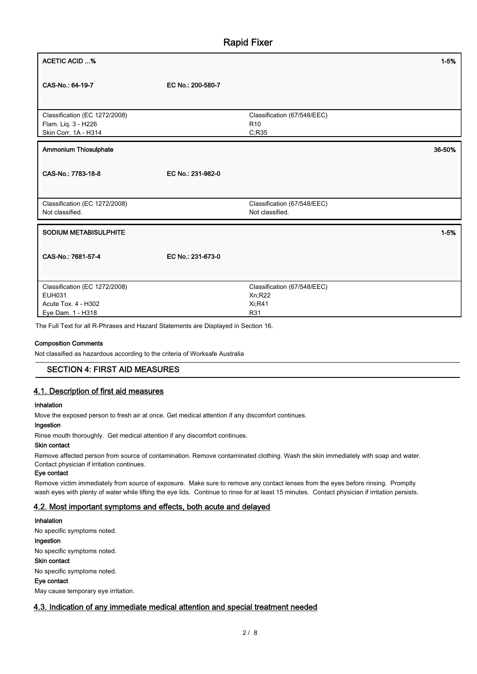| <b>ACETIC ACID %</b>                                                                       |                   |                                                          | $1 - 5%$ |
|--------------------------------------------------------------------------------------------|-------------------|----------------------------------------------------------|----------|
| CAS-No.: 64-19-7                                                                           | EC No.: 200-580-7 |                                                          |          |
| Classification (EC 1272/2008)<br>Flam. Liq. 3 - H226<br>Skin Corr. 1A - H314               |                   | Classification (67/548/EEC)<br>R <sub>10</sub><br>C; R35 |          |
| Ammonium Thiosulphate                                                                      |                   |                                                          | 36-50%   |
| CAS-No.: 7783-18-8                                                                         | EC No.: 231-982-0 |                                                          |          |
| Classification (EC 1272/2008)<br>Not classified.                                           |                   | Classification (67/548/EEC)<br>Not classified.           |          |
| <b>SODIUM METABISULPHITE</b>                                                               |                   |                                                          | $1 - 5%$ |
| CAS-No.: 7681-57-4                                                                         | EC No.: 231-673-0 |                                                          |          |
| Classification (EC 1272/2008)<br><b>EUH031</b><br>Acute Tox. 4 - H302<br>Eye Dam. 1 - H318 |                   | Classification (67/548/EEC)<br>Xn;R22<br>Xi, R41<br>R31  |          |

The Full Text for all R-Phrases and Hazard Statements are Displayed in Section 16.

#### Composition Comments

Not classified as hazardous according to the criteria of Worksafe Australia

## SECTION 4: FIRST AID MEASURES

#### 4.1. Description of first aid measures

#### Inhalation

Move the exposed person to fresh air at once. Get medical attention if any discomfort continues.

#### Ingestion

Rinse mouth thoroughly. Get medical attention if any discomfort continues.

#### Skin contact

Remove affected person from source of contamination. Remove contaminated clothing. Wash the skin immediately with soap and water. Contact physician if irritation continues.

## Eye contact

Remove victim immediately from source of exposure. Make sure to remove any contact lenses from the eyes before rinsing. Promptly wash eyes with plenty of water while lifting the eye lids. Continue to rinse for at least 15 minutes. Contact physician if irritation persists.

#### 4.2. Most important symptoms and effects, both acute and delayed

Inhalation No specific symptoms noted. Ingestion No specific symptoms noted. Skin contact No specific symptoms noted. Eye contact May cause temporary eye irritation.

## 4.3. Indication of any immediate medical attention and special treatment needed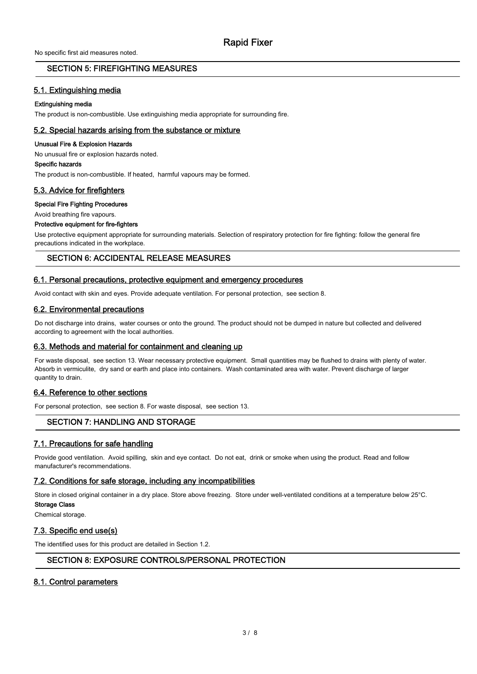#### SECTION 5: FIREFIGHTING MEASURES

#### 5.1. Extinguishing media

#### Extinguishing media

The product is non-combustible. Use extinguishing media appropriate for surrounding fire.

#### 5.2. Special hazards arising from the substance or mixture

#### Unusual Fire & Explosion Hazards

No unusual fire or explosion hazards noted.

#### Specific hazards

The product is non-combustible. If heated, harmful vapours may be formed.

## 5.3. Advice for firefighters

#### Special Fire Fighting Procedures

Avoid breathing fire vapours.

#### Protective equipment for fire-fighters

Use protective equipment appropriate for surrounding materials. Selection of respiratory protection for fire fighting: follow the general fire precautions indicated in the workplace.

## SECTION 6: ACCIDENTAL RELEASE MEASURES

#### 6.1. Personal precautions, protective equipment and emergency procedures

Avoid contact with skin and eyes. Provide adequate ventilation. For personal protection, see section 8.

#### 6.2. Environmental precautions

Do not discharge into drains, water courses or onto the ground. The product should not be dumped in nature but collected and delivered according to agreement with the local authorities.

#### 6.3. Methods and material for containment and cleaning up

For waste disposal, see section 13. Wear necessary protective equipment. Small quantities may be flushed to drains with plenty of water. Absorb in vermiculite, dry sand or earth and place into containers. Wash contaminated area with water. Prevent discharge of larger quantity to drain.

#### 6.4. Reference to other sections

For personal protection, see section 8. For waste disposal, see section 13.

## SECTION 7: HANDLING AND STORAGE

#### 7.1. Precautions for safe handling

Provide good ventilation. Avoid spilling, skin and eye contact. Do not eat, drink or smoke when using the product. Read and follow manufacturer's recommendations.

#### 7.2. Conditions for safe storage, including any incompatibilities

Store in closed original container in a dry place. Store above freezing. Store under well-ventilated conditions at a temperature below 25°C. Storage Class

Chemical storage.

#### 7.3. Specific end use(s)

The identified uses for this product are detailed in Section 1.2.

#### SECTION 8: EXPOSURE CONTROLS/PERSONAL PROTECTION

## 8.1. Control parameters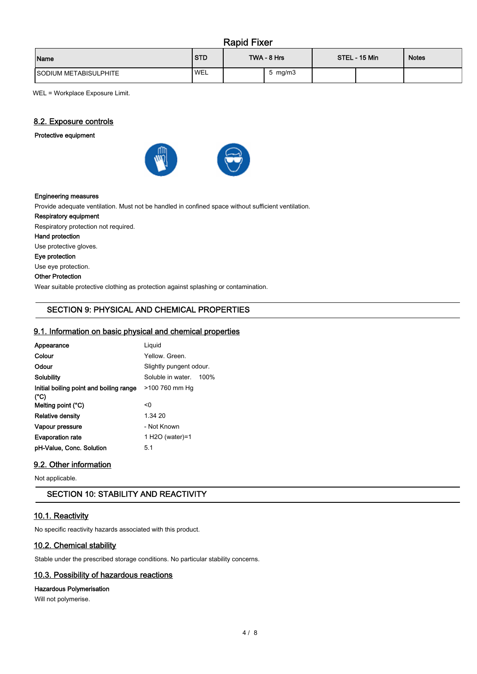| Name                   | <b>STD</b> | TWA - 8 Hrs      | STEL - 15 Min | <b>Notes</b> |
|------------------------|------------|------------------|---------------|--------------|
| ISODIUM METABISULPHITE | <b>WEL</b> | $5 \text{ mg/m}$ |               |              |

WEL = Workplace Exposure Limit.

## 8.2. Exposure controls

Protective equipment



#### Engineering measures

Provide adequate ventilation. Must not be handled in confined space without sufficient ventilation.

## Respiratory equipment

Respiratory protection not required.

#### Hand protection

Use protective gloves.

## Eye protection

Use eye protection.

## Other Protection

Wear suitable protective clothing as protection against splashing or contamination.

## SECTION 9: PHYSICAL AND CHEMICAL PROPERTIES

#### 9.1. Information on basic physical and chemical properties

| Appearance                                      | Liguid                  |      |
|-------------------------------------------------|-------------------------|------|
| Colour                                          | Yellow. Green.          |      |
| Odour                                           | Slightly pungent odour. |      |
| Solubility                                      | Soluble in water.       | 100% |
| Initial boiling point and boiling range<br>(°C) | >100 760 mm Hg          |      |
| Melting point (°C)                              | <0                      |      |
| <b>Relative density</b>                         | 1.34 20                 |      |
| Vapour pressure                                 | - Not Known             |      |
| <b>Evaporation rate</b>                         | 1 H2O (water)=1         |      |
| pH-Value, Conc. Solution                        | 5.1                     |      |

#### 9.2. Other information

Not applicable.

## SECTION 10: STABILITY AND REACTIVITY

#### 10.1. Reactivity

No specific reactivity hazards associated with this product.

## 10.2. Chemical stability

Stable under the prescribed storage conditions. No particular stability concerns.

## 10.3. Possibility of hazardous reactions

#### Hazardous Polymerisation

Will not polymerise.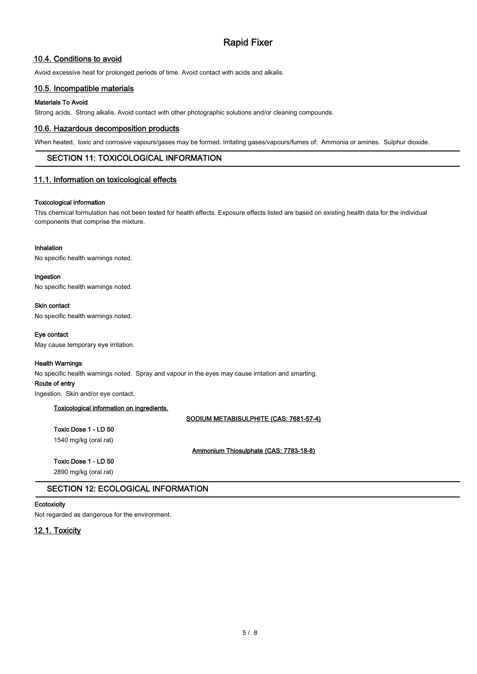## 10.4. Conditions to avoid

Avoid excessive heat for prolonged periods of time. Avoid contact with acids and alkalis.

## 10.5. Incompatible materials

#### Materials To Avoid

Strong acids. Strong alkalis. Avoid contact with other photographic solutions and/or cleaning compounds.

#### 10.6. Hazardous decomposition products

When heated, toxic and corrosive vapours/gases may be formed. Irritating gases/vapours/fumes of: Ammonia or amines. Sulphur dioxide.

## SECTION 11: TOXICOLOGICAL INFORMATION

## 11.1. Information on toxicological effects

#### Toxicological information

This chemical formulation has not been tested for health effects. Exposure effects listed are based on existing health data for the individual components that comprise the mixture.

### Inhalation

No specific health warnings noted.

#### Ingestion

No specific health warnings noted.

#### Skin contact

No specific health warnings noted.

#### Eye contact

May cause temporary eye irritation.

#### Health Warnings

No specific health warnings noted. Spray and vapour in the eyes may cause irritation and smarting.

Route of entry

Ingestion. Skin and/or eye contact.

#### Toxicological information on ingredients.

SODIUM METABISULPHITE (CAS: 7681-57-4)

Toxic Dose 1 - LD 50 1540 mg/kg (oral rat)

Ammonium Thiosulphate (CAS: 7783-18-8)

Toxic Dose 1 - LD 50

2890 mg/kg (oral rat)

## SECTION 12: ECOLOGICAL INFORMATION

## **Ecotoxicity**

Not regarded as dangerous for the environment.

## 12.1. Toxicity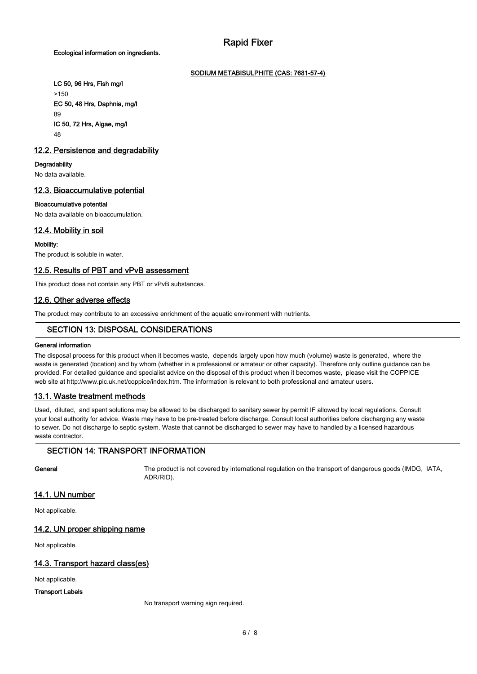## Ecological information on ingredients.

#### SODIUM METABISULPHITE (CAS: 7681-57-4)

LC 50, 96 Hrs, Fish mg/l >150 EC 50, 48 Hrs, Daphnia, mg/l 89 IC 50, 72 Hrs, Algae, mg/l 48

## 12.2. Persistence and degradability

#### **Degradability**

No data available.

## 12.3. Bioaccumulative potential

#### Bioaccumulative potential

No data available on bioaccumulation.

## 12.4. Mobility in soil

Mobility: The product is soluble in water.

## 12.5. Results of PBT and vPvB assessment

This product does not contain any PBT or vPvB substances.

## 12.6. Other adverse effects

The product may contribute to an excessive enrichment of the aquatic environment with nutrients.

## SECTION 13: DISPOSAL CONSIDERATIONS

#### General information

The disposal process for this product when it becomes waste, depends largely upon how much (volume) waste is generated, where the waste is generated (location) and by whom (whether in a professional or amateur or other capacity). Therefore only outline guidance can be provided. For detailed guidance and specialist advice on the disposal of this product when it becomes waste, please visit the COPPICE web site at http://www.pic.uk.net/coppice/index.htm. The information is relevant to both professional and amateur users.

## 13.1. Waste treatment methods

Used, diluted, and spent solutions may be allowed to be discharged to sanitary sewer by permit IF allowed by local regulations. Consult your local authority for advice. Waste may have to be pre-treated before discharge. Consult local authorities before discharging any waste to sewer. Do not discharge to septic system. Waste that cannot be discharged to sewer may have to handled by a licensed hazardous waste contractor

## SECTION 14: TRANSPORT INFORMATION

General The product is not covered by international regulation on the transport of dangerous goods (IMDG, IATA, ADR/RID).

## 14.1. UN number

Not applicable.

## 14.2. UN proper shipping name

Not applicable.

## 14.3. Transport hazard class(es)

Not applicable.

## Transport Labels

No transport warning sign required.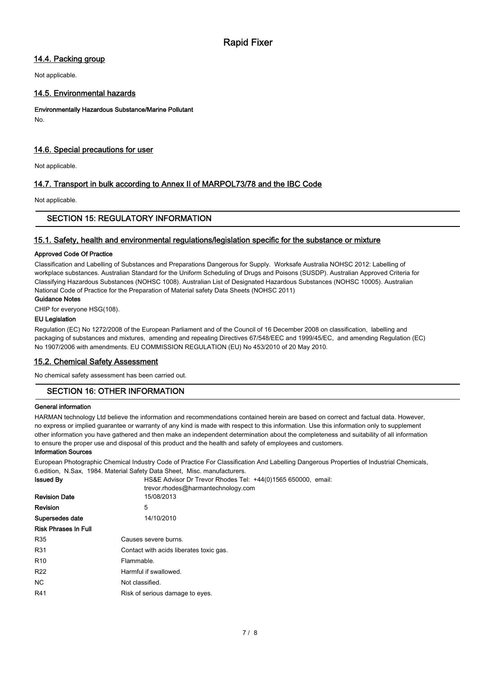## 14.4. Packing group

Not applicable.

## 14.5. Environmental hazards

Environmentally Hazardous Substance/Marine Pollutant

No.

## 14.6. Special precautions for user

Not applicable.

## 14.7. Transport in bulk according to Annex II of MARPOL73/78 and the IBC Code

Not applicable.

## SECTION 15: REGULATORY INFORMATION

## 15.1. Safety, health and environmental regulations/legislation specific for the substance or mixture

#### Approved Code Of Practice

Classification and Labelling of Substances and Preparations Dangerous for Supply. Worksafe Australia NOHSC 2012: Labelling of workplace substances. Australian Standard for the Uniform Scheduling of Drugs and Poisons (SUSDP). Australian Approved Criteria for Classifying Hazardous Substances (NOHSC 1008). Australian List of Designated Hazardous Substances (NOHSC 10005). Australian National Code of Practice for the Preparation of Material safety Data Sheets (NOHSC 2011)

#### Guidance Notes

CHIP for everyone HSG(108).

#### EU Legislation

Regulation (EC) No 1272/2008 of the European Parliament and of the Council of 16 December 2008 on classification, labelling and packaging of substances and mixtures, amending and repealing Directives 67/548/EEC and 1999/45/EC, and amending Regulation (EC) No 1907/2006 with amendments. EU COMMISSION REGULATION (EU) No 453/2010 of 20 May 2010.

## 15.2. Chemical Safety Assessment

No chemical safety assessment has been carried out.

## SECTION 16: OTHER INFORMATION

#### General information

HARMAN technology Ltd believe the information and recommendations contained herein are based on correct and factual data. However, no express or implied guarantee or warranty of any kind is made with respect to this information. Use this information only to supplement other information you have gathered and then make an independent determination about the completeness and suitability of all information to ensure the proper use and disposal of this product and the health and safety of employees and customers.

#### Information Sources

European Photographic Chemical Industry Code of Practice For Classification And Labelling Dangerous Properties of Industrial Chemicals, 6.edition, N.Sax, 1984. Material Safety Data Sheet, Misc. manufacturers.

| <b>Issued By</b>            | HS&E Advisor Dr Trevor Rhodes Tel: +44(0)1565 650000, email:<br>trevor.rhodes@harmantechnology.com |  |
|-----------------------------|----------------------------------------------------------------------------------------------------|--|
| <b>Revision Date</b>        | 15/08/2013                                                                                         |  |
| Revision                    | 5                                                                                                  |  |
| Supersedes date             | 14/10/2010                                                                                         |  |
| <b>Risk Phrases In Full</b> |                                                                                                    |  |
| R35                         | Causes severe burns.                                                                               |  |
| R31                         | Contact with acids liberates toxic gas.                                                            |  |
| R <sub>10</sub>             | Flammable.                                                                                         |  |
| R <sub>22</sub>             | Harmful if swallowed.                                                                              |  |
| NC.                         | Not classified.                                                                                    |  |
| R41                         | Risk of serious damage to eyes.                                                                    |  |
|                             |                                                                                                    |  |